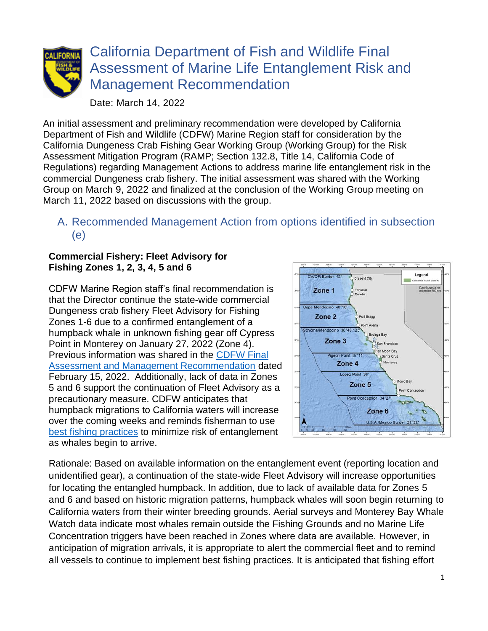

## California Department of Fish and Wildlife Final Assessment of Marine Life Entanglement Risk and Management Recommendation

Date: March 14, 2022

An initial assessment and preliminary recommendation were developed by California Department of Fish and Wildlife (CDFW) Marine Region staff for consideration by the California Dungeness Crab Fishing Gear Working Group (Working Group) for the Risk Assessment Mitigation Program (RAMP; Section 132.8, Title 14, California Code of Regulations) regarding Management Actions to address marine life entanglement risk in the commercial Dungeness crab fishery. The initial assessment was shared with the Working Group on March 9, 2022 and finalized at the conclusion of the Working Group meeting on March 11, 2022 based on discussions with the group.

## A. Recommended Management Action from options identified in subsection (e)

## **Commercial Fishery: Fleet Advisory for Fishing Zones 1, 2, 3, 4, 5 and 6**

CDFW Marine Region staff's final recommendation is that the Director continue the state-wide commercial Dungeness crab fishery Fleet Advisory for Fishing Zones 1-6 due to a confirmed entanglement of a humpback whale in unknown fishing gear off Cypress Point in Monterey on January 27, 2022 (Zone 4). Previous information was shared in the [CDFW Final](https://nrm.dfg.ca.gov/FileHandler.ashx?DocumentID=199002&inline)  [Assessment and Management Recommendation](https://nrm.dfg.ca.gov/FileHandler.ashx?DocumentID=199002&inline) dated February 15, 2022. Additionally, lack of data in Zones 5 and 6 support the continuation of Fleet Advisory as a precautionary measure. CDFW anticipates that humpback migrations to California waters will increase over the coming weeks and reminds fisherman to use [best fishing practices](https://nrm.dfg.ca.gov/FileHandler.ashx?DocumentID=195428&inline) to minimize risk of entanglement as whales begin to arrive.



Rationale: Based on available information on the entanglement event (reporting location and unidentified gear), a continuation of the state-wide Fleet Advisory will increase opportunities for locating the entangled humpback. In addition, due to lack of available data for Zones 5 and 6 and based on historic migration patterns, humpback whales will soon begin returning to California waters from their winter breeding grounds. Aerial surveys and Monterey Bay Whale Watch data indicate most whales remain outside the Fishing Grounds and no Marine Life Concentration triggers have been reached in Zones where data are available. However, in anticipation of migration arrivals, it is appropriate to alert the commercial fleet and to remind all vessels to continue to implement best fishing practices. It is anticipated that fishing effort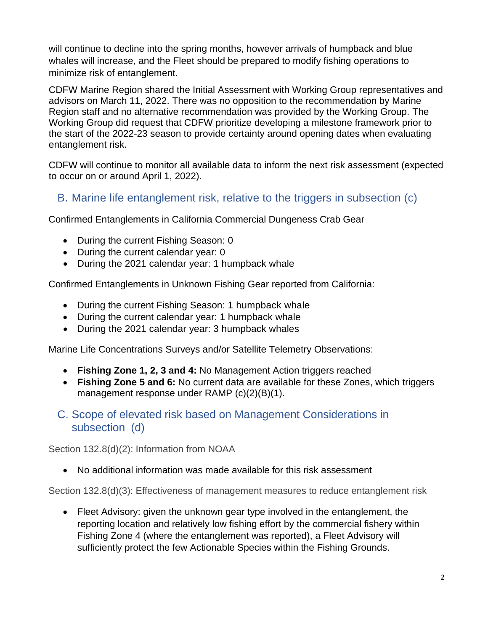will continue to decline into the spring months, however arrivals of humpback and blue whales will increase, and the Fleet should be prepared to modify fishing operations to minimize risk of entanglement.

CDFW Marine Region shared the Initial Assessment with Working Group representatives and advisors on March 11, 2022. There was no opposition to the recommendation by Marine Region staff and no alternative recommendation was provided by the Working Group. The Working Group did request that CDFW prioritize developing a milestone framework prior to the start of the 2022-23 season to provide certainty around opening dates when evaluating entanglement risk.

CDFW will continue to monitor all available data to inform the next risk assessment (expected to occur on or around April 1, 2022).

## B. Marine life entanglement risk, relative to the triggers in subsection (c)

Confirmed Entanglements in California Commercial Dungeness Crab Gear

- During the current Fishing Season: 0
- During the current calendar year: 0
- During the 2021 calendar year: 1 humpback whale

Confirmed Entanglements in Unknown Fishing Gear reported from California:

- During the current Fishing Season: 1 humpback whale
- During the current calendar year: 1 humpback whale
- During the 2021 calendar year: 3 humpback whales

Marine Life Concentrations Surveys and/or Satellite Telemetry Observations:

- **Fishing Zone 1, 2, 3 and 4:** No Management Action triggers reached
- **Fishing Zone 5 and 6:** No current data are available for these Zones, which triggers management response under RAMP (c)(2)(B)(1).
- C. Scope of elevated risk based on Management Considerations in subsection (d)

Section 132.8(d)(2): Information from NOAA

• No additional information was made available for this risk assessment

Section 132.8(d)(3): Effectiveness of management measures to reduce entanglement risk

• Fleet Advisory: given the unknown gear type involved in the entanglement, the reporting location and relatively low fishing effort by the commercial fishery within Fishing Zone 4 (where the entanglement was reported), a Fleet Advisory will sufficiently protect the few Actionable Species within the Fishing Grounds.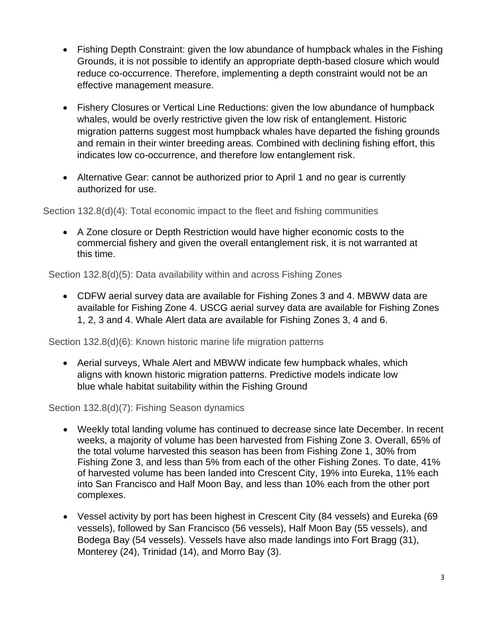- Fishing Depth Constraint: given the low abundance of humpback whales in the Fishing Grounds, it is not possible to identify an appropriate depth-based closure which would reduce co-occurrence. Therefore, implementing a depth constraint would not be an effective management measure.
- Fishery Closures or Vertical Line Reductions: given the low abundance of humpback whales, would be overly restrictive given the low risk of entanglement. Historic migration patterns suggest most humpback whales have departed the fishing grounds and remain in their winter breeding areas. Combined with declining fishing effort, this indicates low co-occurrence, and therefore low entanglement risk.
- Alternative Gear: cannot be authorized prior to April 1 and no gear is currently authorized for use.

Section 132.8(d)(4): Total economic impact to the fleet and fishing communities

• A Zone closure or Depth Restriction would have higher economic costs to the commercial fishery and given the overall entanglement risk, it is not warranted at this time.

Section 132.8(d)(5): Data availability within and across Fishing Zones

• CDFW aerial survey data are available for Fishing Zones 3 and 4. MBWW data are available for Fishing Zone 4. USCG aerial survey data are available for Fishing Zones 1, 2, 3 and 4. Whale Alert data are available for Fishing Zones 3, 4 and 6.

Section 132.8(d)(6): Known historic marine life migration patterns

• Aerial surveys, Whale Alert and MBWW indicate few humpback whales, which aligns with known historic migration patterns. Predictive models indicate low blue whale habitat suitability within the Fishing Ground

Section 132.8(d)(7): Fishing Season dynamics

- Weekly total landing volume has continued to decrease since late December. In recent weeks, a majority of volume has been harvested from Fishing Zone 3. Overall, 65% of the total volume harvested this season has been from Fishing Zone 1, 30% from Fishing Zone 3, and less than 5% from each of the other Fishing Zones. To date, 41% of harvested volume has been landed into Crescent City, 19% into Eureka, 11% each into San Francisco and Half Moon Bay, and less than 10% each from the other port complexes.
- Vessel activity by port has been highest in Crescent City (84 vessels) and Eureka (69 vessels), followed by San Francisco (56 vessels), Half Moon Bay (55 vessels), and Bodega Bay (54 vessels). Vessels have also made landings into Fort Bragg (31), Monterey (24), Trinidad (14), and Morro Bay (3).